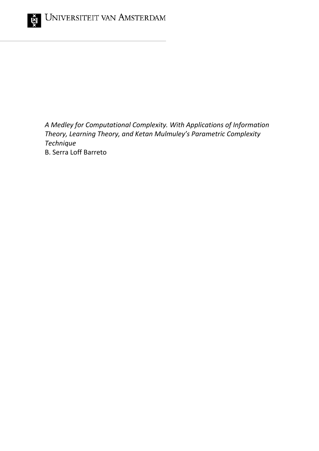

*A Medley for Computational Complexity. With Applications of Information Theory, Learning Theory, and Ketan Mulmuley's Parametric Complexity Technique* B. Serra Loff Barreto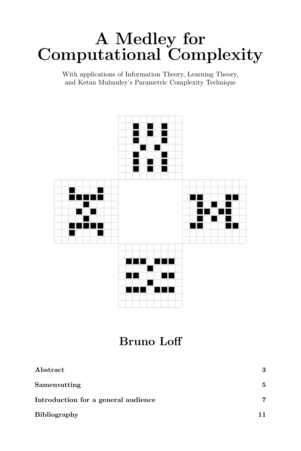# A Medley for Computational Complexity

With applications of Information Theory, Learning Theory, and Ketan Mulmuley's Parametric Complexity Technique



# Bruno Loff

| Abstract                            | 3  |
|-------------------------------------|----|
| Samenvatting                        | 5  |
| Introduction for a general audience | 7  |
| <b>Bibliography</b>                 | 11 |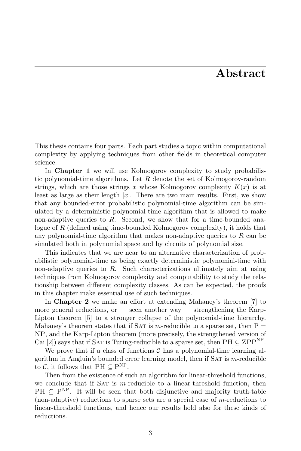#### Abstract

This thesis contains four parts. Each part studies a topic within computational complexity by applying techniques from other fields in theoretical computer science.

In **Chapter 1** we will use Kolmogorov complexity to study probabilistic polynomial-time algorithms. Let R denote the set of Kolmogorov-random strings, which are those strings x whose Kolmogorov complexity  $K(x)$  is at least as large as their length  $|x|$ . There are two main results. First, we show that any bounded-error probabilistic polynomial-time algorithm can be simulated by a deterministic polynomial-time algorithm that is allowed to make non-adaptive queries to  $R$ . Second, we show that for a time-bounded analogue of R (defined using time-bounded Kolmogorov complexity), it holds that any polynomial-time algorithm that makes non-adaptive queries to  $R$  can be simulated both in polynomial space and by circuits of polynomial size.

This indicates that we are near to an alternative characterization of probabilistic polynomial-time as being exactly deterministic polynomial-time with non-adaptive queries to  $R$ . Such characterizations ultimately aim at using techniques from Kolmogorov complexity and computability to study the relationship between different complexity classes. As can be expected, the proofs in this chapter make essential use of such techniques.

In Chapter 2 we make an effort at extending Mahaney's theorem [7] to more general reductions, or — seen another way — strengthening the Karp-Lipton theorem [5] to a stronger collapse of the polynomial-time hierarchy. Mahaney's theorem states that if SAT is m-reducible to a sparse set, then  $P =$ NP, and the Karp-Lipton theorem (more precisely, the strengthened version of Cai [2]) says that if SAT is Turing-reducible to a sparse set, then  $PH \subseteq ZPP^{NP}$ .

We prove that if a class of functions  $\mathcal C$  has a polynomial-time learning algorithm in Angluin's bounded error learning model, then if  $SAT$  is m-reducible to  $\mathcal{C}$ , it follows that  $PH \subseteq P^{NP}$ .

Then from the existence of such an algorithm for linear-threshold functions, we conclude that if SAT is  $m$ -reducible to a linear-threshold function, then  $PH \subseteq P^{NP}$ . It will be seen that both disjunctive and majority truth-table (non-adaptive) reductions to sparse sets are a special case of  $m$ -reductions to linear-threshold functions, and hence our results hold also for these kinds of reductions.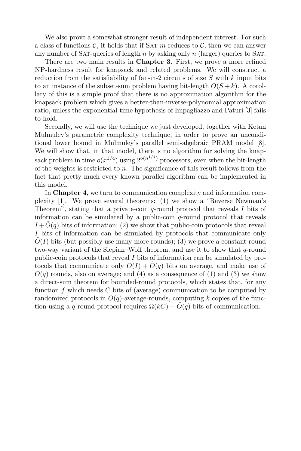We also prove a somewhat stronger result of independent interest. For such a class of functions  $\mathcal{C}$ , it holds that if SAT m-reduces to  $\mathcal{C}$ , then we can answer any number of SAT-queries of length n by asking only n (larger) queries to SAT.

There are two main results in Chapter 3. First, we prove a more refined NP-hardness result for knapsack and related problems. We will construct a reduction from the satisfiability of fan-in-2 circuits of size  $S$  with  $k$  input bits to an instance of the subset-sum problem having bit-length  $O(S + k)$ . A corollary of this is a simple proof that there is no approximation algorithm for the knapsack problem which gives a better-than-inverse-polynomial approximation ratio, unless the exponential-time hypothesis of Impagliazzo and Paturi [3] fails to hold.

Secondly, we will use the technique we just developed, together with Ketan Mulmuley's parametric complexity technique, in order to prove an unconditional lower bound in Mulmuley's parallel semi-algebraic PRAM model [8]. We will show that, in that model, there is no algorithm for solving the knapsack problem in time  $o(x^{1/4})$  using  $2^{o(n^{1/4})}$  processors, even when the bit-length of the weights is restricted to  $n$ . The significance of this result follows from the fact that pretty much every known parallel algorithm can be implemented in this model.

In Chapter 4, we turn to communication complexity and information complexity [1]. We prove several theorems: (1) we show a "Reverse Newman's Theorem", stating that a private-coin  $q$ -round protocol that reveals I bits of information can be simulated by a public-coin  $q$ -round protocol that reveals  $I + \tilde{O}(q)$  bits of information; (2) we show that public-coin protocols that reveal I bits of information can be simulated by protocols that communicate only  $\tilde{O}(I)$  bits (but possibly use many more rounds); (3) we prove a constant-round two-way variant of the Slepian–Wolf theorem, and use it to show that  $q$ -round public-coin protocols that reveal I bits of information can be simulated by protocols that communicate only  $O(I) + O(q)$  bits on average, and make use of  $O(q)$  rounds, also on average; and (4) as a consequence of (1) and (3) we show a direct-sum theorem for bounded-round protocols, which states that, for any function f which needs  $C$  bits of (average) communication to be computed by randomized protocols in  $O(q)$ -average-rounds, computing k copies of the function using a q-round protocol requires  $\Omega(kC) - \tilde{O}(q)$  bits of communication.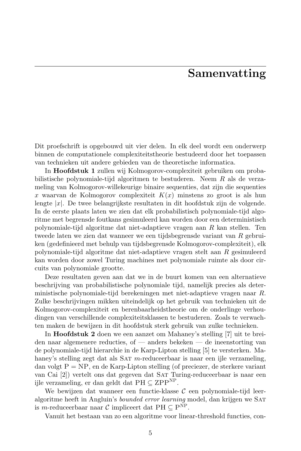#### Samenvatting

Dit proefschrift is opgebouwd uit vier delen. In elk deel wordt een onderwerp binnen de computationele complexiteitstheorie bestudeerd door het toepassen van technieken uit andere gebieden van de theoretische informatica.

In Hoofdstuk 1 zullen wij Kolmogorov-complexiteit gebruiken om probabilistische polynomiale-tijd algoritmen te bestuderen. Neem R als de verzameling van Kolmogorov-willekeurige binaire sequenties, dat zijn die sequenties x waarvan de Kolmogorov complexiteit  $K(x)$  minstens zo groot is als hun lengte  $|x|$ . De twee belangrijkste resultaten in dit hoofdstuk zijn de volgende. In de eerste plaats laten we zien dat elk probabilistisch polynomiale-tijd algoritme met begrensde foutkans gesimuleerd kan worden door een deterministisch polynomiale-tijd algoritme dat niet-adaptieve vragen aan R kan stellen. Ten tweede laten we zien dat wanneer we een tijdsbegrensde variant van R gebruiken (gedefinieerd met behulp van tijdsbegrensde Kolmogorov-complexiteit), elk polynomiale-tijd algoritme dat niet-adaptieve vragen stelt aan R gesimuleerd kan worden door zowel Turing machines met polynomiale ruimte als door circuits van polynomiale grootte.

Deze resultaten geven aan dat we in de buurt komen van een alternatieve beschrijving van probabilistische polynomiale tijd, namelijk precies als deterministische polynomiale-tijd berekeningen met niet-adaptieve vragen naar R. Zulke beschrijvingen mikken uiteindelijk op het gebruik van technieken uit de Kolmogorov-complexiteit en berenbaarheidstheorie om de onderlinge verhoudingen van verschillende complexiteitsklassen te bestuderen. Zoals te verwachten maken de bewijzen in dit hoofdstuk sterk gebruik van zulke technieken.

In Hoofdstuk 2 doen we een aanzet om Mahaney's stelling [7] uit te breiden naar algemenere reducties, of — anders bekeken — de ineenstorting van de polynomiale-tijd hierarchie in de Karp-Lipton stelling [5] te versterken. Mahaney's stelling zegt dat als SAT m-reduceerbaar is naar een ijle verzameling, dan volgt  $P = NP$ , en de Karp-Lipton stelling (of preciezer, de sterkere variant van Cai [2]) vertelt ons dat gegeven dat Sat Turing-reduceerbaar is naar een ijle verzameling, er dan geldt dat  $PH \subseteq ZPP^{NP}$ .

We bewijzen dat wanneer een functie-klasse  $\mathcal C$  een polynomiale-tijd leeralgoritme heeft in Angluin's *bounded error learning* model, dan krijgen we SAT is *m*-reduceerbaar naar  $\mathcal{C}$  impliceert dat PH  $\subseteq$  P<sup>NP</sup>.

Vanuit het bestaan van zo een algoritme voor linear-threshold functies, con-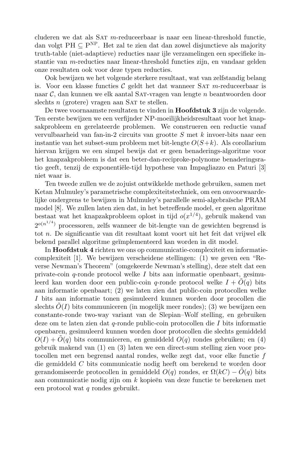cluderen we dat als SAT  $m$ -reduceerbaar is naar een linear-threshold functie, dan volgt PH  $\subseteq$  P<sup>NP</sup>. Het zal te zien dat dan zowel disjunctieve als majority truth-table (niet-adaptieve) reducties naar ijle verzamelingen een specifieke instantie van  $m$ -reducties naar linear-threshold functies zijn, en vandaar gelden onze resultaten ook voor deze typen reducties.

Ook bewijzen we het volgende sterkere resultaat, wat van zelfstandig belang is. Voor een klasse functies  $\mathcal C$  geldt het dat wanneer SAT m-reduceerbaar is naar C, dan kunnen we elk aantal Sat-vragen van lengte n beantwoorden door slechts  $n$  (grotere) vragen aan SAT te stellen.

De twee voornaamste resultaten te vinden in Hoofdstuk 3 zijn de volgende. Ten eerste bewijzen we een verfijnder NP-moeilijkheidsresultaat voor het knapsakprobleem en gerelateerde problemen. We construeren een reductie vanaf vervulbaarheid van fan-in-2 circuits van grootte S met k invoer-bits naar een instantie van het subset-sum probleem met bit-lengte  $O(S+k)$ . Als corollarium hiervan krijgen we een simpel bewijs dat er geen benaderings-algoritme voor het knapzakprobleem is dat een beter-dan-reciproke-polynome benaderingsratio geeft, tenzij de exponentiële-tijd hypothese van Impagliazzo en Paturi [3] niet waar is.

Ten tweede zullen we de zojuist ontwikkelde methode gebruiken, samen met Ketan Mulmuley's parametrische complexiteitstechniek, om een onvoorwaardelijke ondergrens te bewijzen in Mulmuley's parallelle semi-algebra¨ısche PRAM model [8]. We zullen laten zien dat, in het betreffende model, er geen algoritme bestaat wat het knapzakprobleem oplost in tijd  $o(x^{1/4})$ , gebruik makend van  $2^{o(n^{1/4})}$  processoren, zelfs wanneer de bit-lengte van de gewichten begrensd is tot n. De significantie van dit resultaat komt voort uit het feit dat vrijwel elk bekend parallel algoritme geïmplementeerd kan worden in dit model.

In Hoofdstuk 4 richten we ons op communicatie-complexiteit en informatiecomplexiteit [1]. We bewijzen verscheidene stellingen: (1) we geven een "Reverse Newman's Theorem" (omgekeerde Newman's stelling), deze stelt dat een private-coin  $q$ -ronde protocol welke I bits aan informatie openbaart, gesimuleerd kan worden door een public-coin q-ronde protocol welke  $I + O(q)$  bits aan informatie openbaart; (2) we laten zien dat public-coin protocollen welke I bits aan informatie tonen gesimuleerd kunnen worden door procollen die slechts  $\tilde{O}(I)$  bits communiceren (in mogelijk meer rondes); (3) we bewijzen een constante-ronde two-way variant van de Slepian–Wolf stelling, en gebruiken deze om te laten zien dat q-ronde public-coin protocollen die I bits informatie openbaren, gesimuleerd kunnen worden door protocollen die slechts gemiddeld  $O(I) + O(q)$  bits communiceren, en gemiddeld  $O(q)$  rondes gebruiken; en (4) gebruik makend van (1) en (3) laten we een direct-sum stelling zien voor protocollen met een begrensd aantal rondes, welke zegt dat, voor elke functie f die gemiddeld C bits communicatie nodig heeft om berekend te worden door gerandomiseerde protocollen in gemiddeld  $O(q)$  rondes, er  $\Omega(kC) - O(q)$  bits aan communicatie nodig zijn om  $k$  kopieën van deze functie te berekenen met een protocol wat q rondes gebruikt.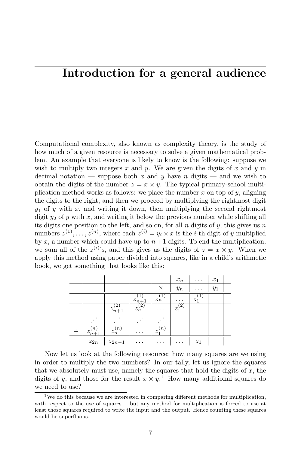## Introduction for a general audience

Computational complexity, also known as complexity theory, is the study of how much of a given resource is necessary to solve a given mathematical problem. An example that everyone is likely to know is the following: suppose we wish to multiply two integers  $x$  and  $y$ . We are given the digits of  $x$  and  $y$  in decimal notation — suppose both x and y have n digits — and we wish to obtain the digits of the number  $z = x \times y$ . The typical primary-school multiplication method works as follows: we place the number  $x$  on top of  $y$ , aligning the digits to the right, and then we proceed by multiplying the rightmost digit  $y_1$  of y with x, and writing it down, then multiplying the second rightmost digit  $y_2$  of y with x, and writing it below the previous number while shifting all its digits one position to the left, and so on, for all n digits of  $y$ ; this gives us n numbers  $z^{(1)}, \ldots, z^{(n)}$ , where each  $z^{(i)} = y_i \times x$  is the *i*-th digit of y multiplied by x, a number which could have up to  $n+1$  digits. To end the multiplication, we sum all of the  $z^{(i)}$ 's, and this gives us the digits of  $z = x \times y$ . When we apply this method using paper divided into squares, like in a child's arithmetic book, we get something that looks like this:

|                          |                        |             |                    | $x_n$            | $\cdots$       | $x_1$ |  |
|--------------------------|------------------------|-------------|--------------------|------------------|----------------|-------|--|
|                          |                        |             | X                  | $\mathcal{Y} _n$ | $\cdots$       | $y_1$ |  |
|                          |                        | $z_{n+1}$   | $z_n$ <sup>-</sup> | $\cdots$         | $z_1$          |       |  |
|                          | $z_{n+1}$ <sup>-</sup> | $z_n^{(2)}$ | $\cdots$           | $z_1^{(2)}$      |                |       |  |
|                          |                        |             |                    |                  |                |       |  |
| n,<br>$z_{n+1}^{\cdots}$ | $z_n^{(n)}$            | .           | $z_1^{(n)}$        |                  |                |       |  |
| $\mathcal{z}_{2n}$       | $z_{2n-1}$             | .           | .                  | .                | z <sub>1</sub> |       |  |

Now let us look at the following resource: how many squares are we using in order to multiply the two numbers? In our tally, let us ignore the squares that we absolutely must use, namely the squares that hold the digits of  $x$ , the digits of y, and those for the result  $x \times y$ .<sup>1</sup> How many additional squares do we need to use?

<sup>&</sup>lt;sup>1</sup>We do this because we are interested in comparing different methods for multiplication, with respect to the use of squares... but any method for multiplication is forced to use at least those squares required to write the input and the output. Hence counting these squares would be superfluous.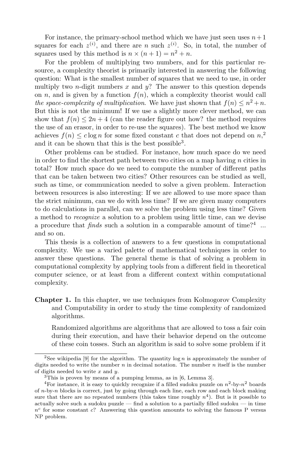For instance, the primary-school method which we have just seen uses  $n+1$ squares for each  $z^{(i)}$ , and there are *n* such  $z^{(i)}$ . So, in total, the number of squares used by this method is  $n \times (n+1) = n^2 + n$ .

For the problem of multiplying two numbers, and for this particular resource, a complexity theorist is primarily interested in answering the following question: What is the smallest number of squares that we need to use, in order multiply two *n*-digit numbers  $x$  and  $y$ ? The answer to this question depends on n, and is given by a function  $f(n)$ , which a complexity theorist would call the space-complexity of multiplication. We have just shown that  $f(n) \leq n^2 + n$ . But this is not the minimum! If we use a slightly more clever method, we can show that  $f(n) \leq 2n + 4$  (can the reader figure out how? the method requires the use of an erasor, in order to re-use the squares). The best method we know achieves  $f(n) \leq c \log n$  for some fixed constant c that does not depend on  $n<sub>1</sub>$ <sup>2</sup> and it can be shown that this is the best possible<sup>3</sup>.

Other problems can be studied. For instance, how much space do we need in order to find the shortest path between two cities on a map having  $n$  cities in total? How much space do we need to compute the number of different paths that can be taken between two cities? Other resources can be studied as well, such as time, or communication needed to solve a given problem. Interaction between resources is also interesting: If we are allowed to use more space than the strict minimum, can we do with less time? If we are given many computers to do calculations in parallel, can we solve the problem using less time? Given a method to recognize a solution to a problem using little time, can we devise a procedure that  $finds$  such a solution in a comparable amount of time?<sup>4</sup> ... and so on.

This thesis is a collection of answers to a few questions in computational complexity. We use a varied palette of mathematical techniques in order to answer these questions. The general theme is that of solving a problem in computational complexity by applying tools from a different field in theoretical computer science, or at least from a different context within computational complexity.

Chapter 1. In this chapter, we use techniques from Kolmogorov Complexity and Computability in order to study the time complexity of randomized algorithms.

Randomized algorithms are algorithms that are allowed to toss a fair coin during their execution, and have their behavior depend on the outcome of these coin tosses. Such an algorithm is said to solve some problem if it

<sup>&</sup>lt;sup>2</sup>See wikipedia [9] for the algorithm. The quantity  $\log n$  is approximately the number of digits needed to write the number  $n$  in decimal notation. The number  $n$  itself is the number of digits needed to write  $x$  and  $y$ .

<sup>3</sup>This is proven by means of a pumping lemma, as in [6, Lemma 3].

<sup>&</sup>lt;sup>4</sup>For instance, it is easy to quickly recognize if a filled sudoku puzzle on  $n^2$ -by- $n^2$  boards of n-by-n blocks is correct, just by going through each line, each row and each block making sure that there are no repeated numbers (this takes time roughly  $n<sup>4</sup>$ ). But is it possible to actually solve such a sudoku puzzle — find a solution to a partially filled sudoku — in time  $n<sup>c</sup>$  for some constant c? Answering this question amounts to solving the famous P versus NP problem.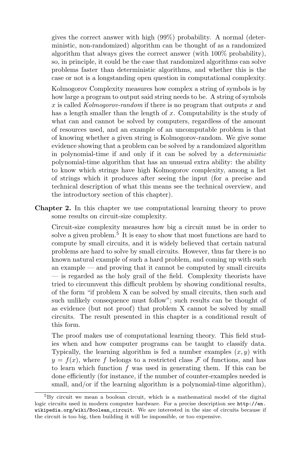gives the correct answer with high (99%) probability. A normal (deterministic, non-randomized) algorithm can be thought of as a randomized algorithm that always gives the correct answer (with 100% probability), so, in principle, it could be the case that randomized algorithms can solve problems faster than deterministic algorithms, and whether this is the case or not is a longstanding open question in computational complexity.

Kolmogorov Complexity measures how complex a string of symbols is by how large a program to output said string needs to be. A string of symbols x is called  $Kolmogorov-random$  if there is no program that outputs x and has a length smaller than the length of  $x$ . Computability is the study of what can and cannot be solved by computers, regardless of the amount of resources used, and an example of an uncomputable problem is that of knowing whether a given string is Kolmogorov-random. We give some evidence showing that a problem can be solved by a randomized algorithm in polynomial-time if and only if it can be solved by a deterministic polynomial-time algorithm that has an unusual extra ability: the ability to know which strings have high Kolmogorov complexity, among a list of strings which it produces after seeing the input (for a precise and technical description of what this means see the technical overview, and the introductory section of this chapter).

Chapter 2. In this chapter we use computational learning theory to prove some results on circuit-size complexity.

Circuit-size complexity measures how big a circuit must be in order to solve a given problem.<sup>5</sup> It is easy to show that most functions are hard to compute by small circuits, and it is widely believed that certain natural problems are hard to solve by small circuits. However, thus far there is no known natural example of such a hard problem, and coming up with such an example — and proving that it cannot be computed by small circuits — is regarded as the holy grail of the field. Complexity theorists have tried to circumvent this difficult problem by showing conditional results, of the form "if problem X can be solved by small circuits, then such and such unlikely consequence must follow"; such results can be thought of as evidence (but not proof) that problem X cannot be solved by small circuits. The result presented in this chapter is a conditional result of this form.

The proof makes use of computational learning theory. This field studies when and how computer programs can be taught to classify data. Typically, the learning algorithm is fed a number examples  $(x, y)$  with  $y = f(x)$ , where f belongs to a restricted class F of functions, and has to learn which function  $f$  was used in generating them. If this can be done efficiently (for instance, if the number of counter-examples needed is small, and/or if the learning algorithm is a polynomial-time algorithm),

 ${}^{5}$ By circuit we mean a boolean circuit, which is a mathematical model of the digital logic circuits used in modern computer hardware. For a precise description see http://en. wikipedia.org/wiki/Boolean\_circuit. We are interested in the size of circuits because if the circuit is too big, then building it will be impossible, or too expensive.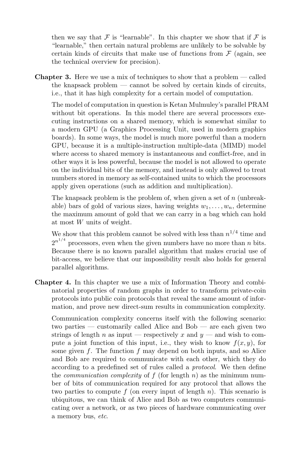then we say that  $\mathcal F$  is "learnable". In this chapter we show that if  $\mathcal F$  is "learnable," then certain natural problems are unlikely to be solvable by certain kinds of circuits that make use of functions from  $\mathcal F$  (again, see the technical overview for precision).

Chapter 3. Here we use a mix of techniques to show that a problem — called the knapsack problem — cannot be solved by certain kinds of circuits, i.e., that it has high complexity for a certain model of computation.

The model of computation in question is Ketan Mulmuley's parallel PRAM without bit operations. In this model there are several processors executing instructions on a shared memory, which is somewhat similar to a modern GPU (a Graphics Processing Unit, used in modern graphics boards). In some ways, the model is much more powerful than a modern GPU, because it is a multiple-instruction multiple-data (MIMD) model where access to shared memory is instantaneous and conflict-free, and in other ways it is less powerful, because the model is not allowed to operate on the individual bits of the memory, and instead is only allowed to treat numbers stored in memory as self-contained units to which the processors apply given operations (such as addition and multiplication).

The knapsack problem is the problem of, when given a set of  $n$  (unbreakable) bars of gold of various sizes, having weights  $w_1, \ldots, w_n$ , determine the maximum amount of gold that we can carry in a bag which can hold at most W units of weight.

We show that this problem cannot be solved with less than  $n^{1/4}$  time and  $2^{n^{1/4}}$  processors, even when the given numbers have no more than *n* bits. Because there is no known parallel algorithm that makes crucial use of bit-access, we believe that our impossibility result also holds for general parallel algorithms.

Chapter 4. In this chapter we use a mix of Information Theory and combinatorial properties of random graphs in order to transform private-coin protocols into public coin protocols that reveal the same amount of information, and prove new direct-sum results in communication complexity.

Communication complexity concerns itself with the following scenario: two parties — customarily called Alice and Bob — are each given two strings of length n as input — respectively x and  $y$  — and wish to compute a joint function of this input, i.e., they wish to know  $f(x, y)$ , for some given  $f$ . The function  $f$  may depend on both inputs, and so Alice and Bob are required to communicate with each other, which they do according to a predefined set of rules called a protocol. We then define the *communication complexity* of  $f$  (for length  $n$ ) as the minimum number of bits of communication required for any protocol that allows the two parties to compute f (on every input of length n). This scenario is ubiquitous, we can think of Alice and Bob as two computers communicating over a network, or as two pieces of hardware communicating over a memory bus, etc.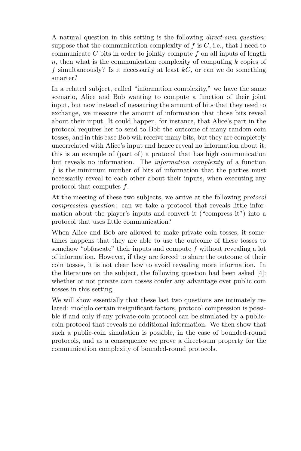A natural question in this setting is the following direct-sum question: suppose that the communication complexity of  $f$  is  $C$ , i.e., that I need to communicate  $C$  bits in order to jointly compute  $f$  on all inputs of length n, then what is the communication complexity of computing  $k$  copies of f simultaneously? Is it necessarily at least  $kC$ , or can we do something smarter?

In a related subject, called "information complexity," we have the same scenario, Alice and Bob wanting to compute a function of their joint input, but now instead of measuring the amount of bits that they need to exchange, we measure the amount of information that those bits reveal about their input. It could happen, for instance, that Alice's part in the protocol requires her to send to Bob the outcome of many random coin tosses, and in this case Bob will receive many bits, but they are completely uncorrelated with Alice's input and hence reveal no information about it; this is an example of (part of) a protocol that has high communication but reveals no information. The information complexity of a function f is the minimum number of bits of information that the parties must necessarily reveal to each other about their inputs, when executing any protocol that computes f.

At the meeting of these two subjects, we arrive at the following protocol compression question: can we take a protocol that reveals little information about the player's inputs and convert it ("compress it") into a protocol that uses little communication?

When Alice and Bob are allowed to make private coin tosses, it sometimes happens that they are able to use the outcome of these tosses to somehow "obfuscate" their inputs and compute f without revealing a lot of information. However, if they are forced to share the outcome of their coin tosses, it is not clear how to avoid revealing more information. In the literature on the subject, the following question had been asked [4]: whether or not private coin tosses confer any advantage over public coin tosses in this setting.

We will show essentially that these last two questions are intimately related: modulo certain insignificant factors, protocol compression is possible if and only if any private-coin protocol can be simulated by a publiccoin protocol that reveals no additional information. We then show that such a public-coin simulation is possible, in the case of bounded-round protocols, and as a consequence we prove a direct-sum property for the communication complexity of bounded-round protocols.